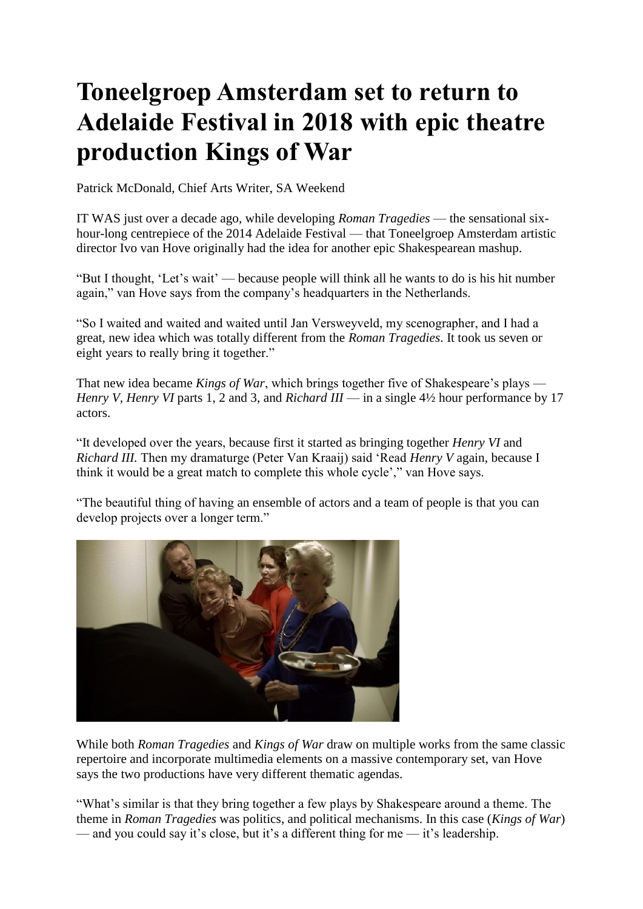## **Toneelgroep Amsterdam set to return to Adelaide Festival in 2018 with epic theatre production Kings of War**

Patrick McDonald, Chief Arts Writer, SA Weekend

IT WAS just over a decade ago, while developing *Roman Tragedies* — the sensational sixhour-long centrepiece of the 2014 Adelaide Festival — that Toneelgroep Amsterdam artistic director Ivo van Hove originally had the idea for another epic Shakespearean mashup.

"But I thought, 'Let's wait' — because people will think all he wants to do is his hit number again," van Hove says from the company's headquarters in the Netherlands.

"So I waited and waited and waited until Jan Versweyveld, my scenographer, and I had a great, new idea which was totally different from the *Roman Tragedies*. It took us seven or eight years to really bring it together."

That new idea became *Kings of War*, which brings together five of Shakespeare's plays — *Henry V, Henry VI* parts 1, 2 and 3, and *Richard III* — in a single 4½ hour performance by 17 actors.

"It developed over the years, because first it started as bringing together *Henry VI* and *Richard III.* Then my dramaturge (Peter Van Kraaij) said 'Read *Henry V* again, because I think it would be a great match to complete this whole cycle'," van Hove says.

"The beautiful thing of having an ensemble of actors and a team of people is that you can develop projects over a longer term."



While both *Roman Tragedies* and *Kings of War* draw on multiple works from the same classic repertoire and incorporate multimedia elements on a massive contemporary set, van Hove says the two productions have very different thematic agendas.

"What's similar is that they bring together a few plays by Shakespeare around a theme. The theme in *Roman Tragedies* was politics, and political mechanisms. In this case (*Kings of War*) — and you could say it's close, but it's a different thing for me — it's leadership.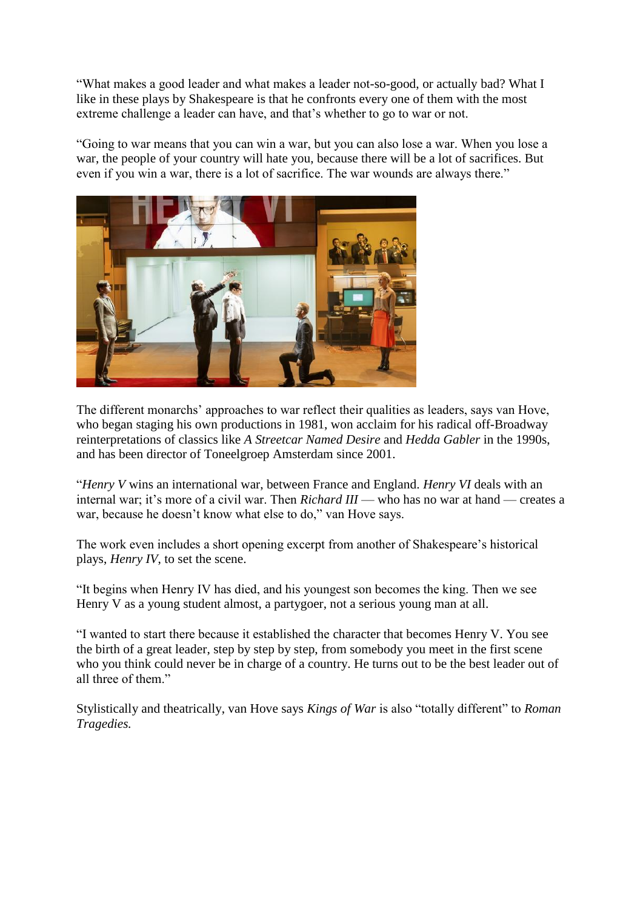"What makes a good leader and what makes a leader not-so-good, or actually bad? What I like in these plays by Shakespeare is that he confronts every one of them with the most extreme challenge a leader can have, and that's whether to go to war or not.

"Going to war means that you can win a war, but you can also lose a war. When you lose a war, the people of your country will hate you, because there will be a lot of sacrifices. But even if you win a war, there is a lot of sacrifice. The war wounds are always there."



The different monarchs' approaches to war reflect their qualities as leaders, says van Hove, who began staging his own productions in 1981, won acclaim for his radical off-Broadway reinterpretations of classics like *A Streetcar Named Desire* and *Hedda Gabler* in the 1990s, and has been director of Toneelgroep Amsterdam since 2001.

"*Henry V* wins an international war, between France and England. *Henry VI* deals with an internal war; it's more of a civil war. Then *Richard III* — who has no war at hand — creates a war, because he doesn't know what else to do," van Hove says.

The work even includes a short opening excerpt from another of Shakespeare's historical plays, *Henry IV*, to set the scene.

"It begins when Henry IV has died, and his youngest son becomes the king. Then we see Henry V as a young student almost, a partygoer, not a serious young man at all.

"I wanted to start there because it established the character that becomes Henry V. You see the birth of a great leader, step by step by step, from somebody you meet in the first scene who you think could never be in charge of a country. He turns out to be the best leader out of all three of them."

Stylistically and theatrically, van Hove says *Kings of War* is also "totally different" to *Roman Tragedies.*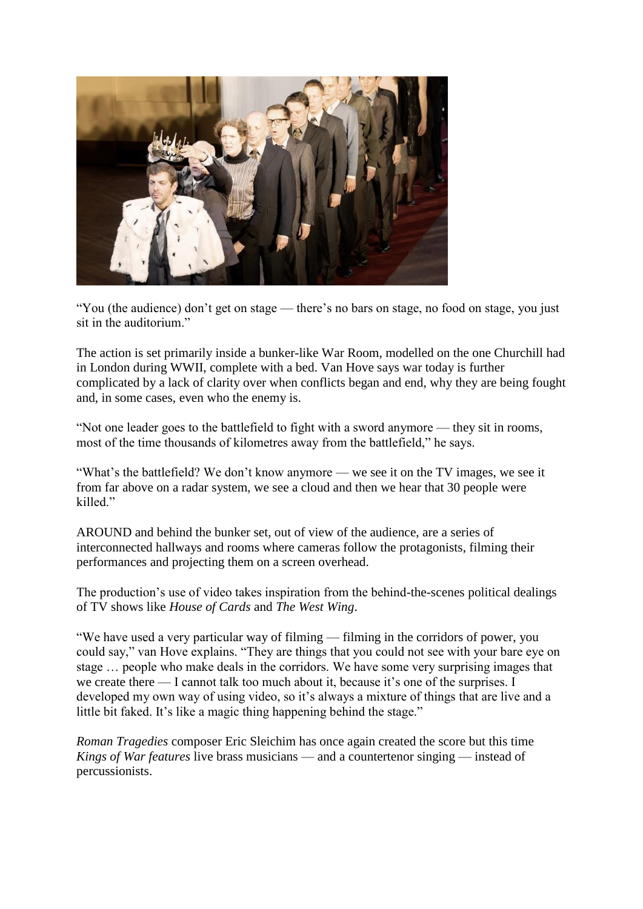

"You (the audience) don't get on stage — there's no bars on stage, no food on stage, you just sit in the auditorium."

The action is set primarily inside a bunker-like War Room, modelled on the one Churchill had in London during WWII, complete with a bed. Van Hove says war today is further complicated by a lack of clarity over when conflicts began and end, why they are being fought and, in some cases, even who the enemy is.

"Not one leader goes to the battlefield to fight with a sword anymore — they sit in rooms, most of the time thousands of kilometres away from the battlefield," he says.

"What's the battlefield? We don't know anymore — we see it on the TV images, we see it from far above on a radar system, we see a cloud and then we hear that 30 people were killed."

AROUND and behind the bunker set, out of view of the audience, are a series of interconnected hallways and rooms where cameras follow the protagonists, filming their performances and projecting them on a screen overhead.

The production's use of video takes inspiration from the behind-the-scenes political dealings of TV shows like *House of Cards* and *The West Wing*.

"We have used a very particular way of filming — filming in the corridors of power, you could say," van Hove explains. "They are things that you could not see with your bare eye on stage … people who make deals in the corridors. We have some very surprising images that we create there — I cannot talk too much about it, because it's one of the surprises. I developed my own way of using video, so it's always a mixture of things that are live and a little bit faked. It's like a magic thing happening behind the stage."

*Roman Tragedies* composer Eric Sleichim has once again created the score but this time *Kings of War features* live brass musicians — and a countertenor singing — instead of percussionists.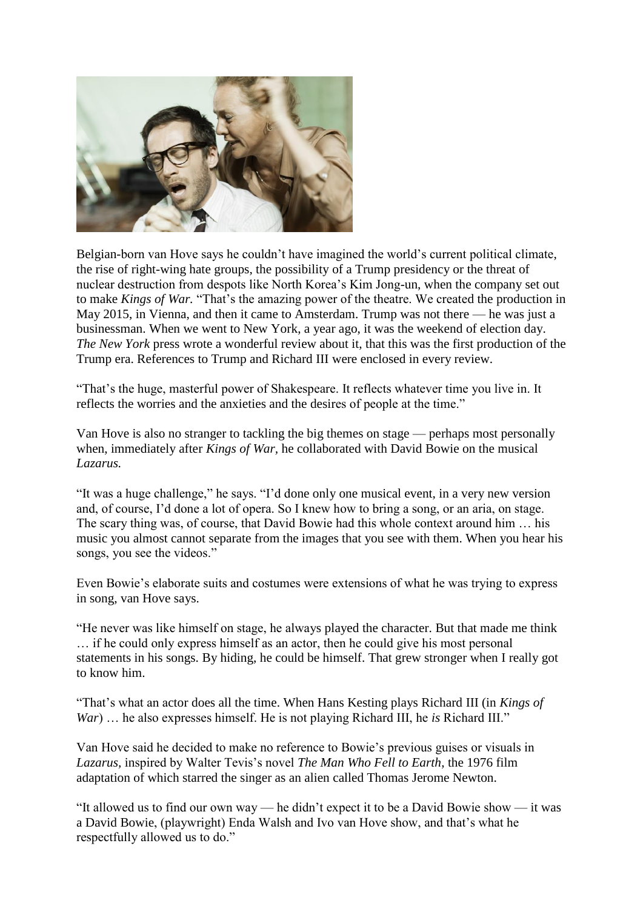

Belgian-born van Hove says he couldn't have imagined the world's current political climate, the rise of right-wing hate groups, the possibility of a Trump presidency or the threat of nuclear destruction from despots like North Korea's Kim Jong-un, when the company set out to make *Kings of War.* "That's the amazing power of the theatre. We created the production in May 2015, in Vienna, and then it came to Amsterdam. Trump was not there — he was just a businessman. When we went to New York, a year ago, it was the weekend of election day. *The New York* press wrote a wonderful review about it, that this was the first production of the Trump era. References to Trump and Richard III were enclosed in every review.

"That's the huge, masterful power of Shakespeare. It reflects whatever time you live in. It reflects the worries and the anxieties and the desires of people at the time."

Van Hove is also no stranger to tackling the big themes on stage — perhaps most personally when, immediately after *Kings of War,* he collaborated with David Bowie on the musical *Lazarus.*

"It was a huge challenge," he says. "I'd done only one musical event, in a very new version and, of course, I'd done a lot of opera. So I knew how to bring a song, or an aria, on stage. The scary thing was, of course, that David Bowie had this whole context around him … his music you almost cannot separate from the images that you see with them. When you hear his songs, you see the videos."

Even Bowie's elaborate suits and costumes were extensions of what he was trying to express in song, van Hove says.

"He never was like himself on stage, he always played the character. But that made me think … if he could only express himself as an actor, then he could give his most personal statements in his songs. By hiding, he could be himself. That grew stronger when I really got to know him.

"That's what an actor does all the time. When Hans Kesting plays Richard III (in *Kings of War*) … he also expresses himself. He is not playing Richard III, he *is* Richard III."

Van Hove said he decided to make no reference to Bowie's previous guises or visuals in *Lazarus,* inspired by Walter Tevis's novel *The Man Who Fell to Earth*, the 1976 film adaptation of which starred the singer as an alien called Thomas Jerome Newton.

"It allowed us to find our own way — he didn't expect it to be a David Bowie show — it was a David Bowie, (playwright) Enda Walsh and Ivo van Hove show, and that's what he respectfully allowed us to do."